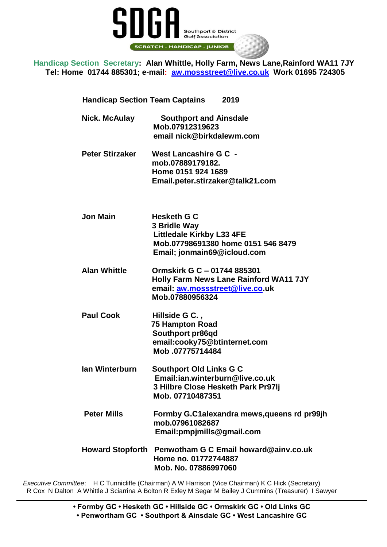

**Handicap Section Secretary: Alan Whittle, Holly Farm, News Lane,Rainford WA11 7JY Tel: Home 01744 885301; e-mail: [aw.mossstreet@live.](mailto:aw.mossstreet@live)co.uk Work 01695 724305**

 **Handicap Section Team Captains 2019**

| <b>Nick. McAulay</b>   | <b>Southport and Ainsdale</b><br>Mob.07912319623<br>email nick@birkdalewm.com                                                               |
|------------------------|---------------------------------------------------------------------------------------------------------------------------------------------|
| <b>Peter Stirzaker</b> | West Lancashire G C -<br>mob.07889179182.<br>Home 0151 924 1689<br>Email.peter.stirzaker@talk21.com                                         |
| <b>Jon Main</b>        | <b>Hesketh G C</b><br>3 Bridle Way<br><b>Littledale Kirkby L33 4FE</b><br>Mob.07798691380 home 0151 546 8479<br>Email; jonmain69@icloud.com |
| <b>Alan Whittle</b>    | Ormskirk G C - 01744 885301<br><b>Holly Farm News Lane Rainford WA11 7JY</b><br>email: aw.mossstreet@live.co.uk<br>Mob.07880956324          |
| <b>Paul Cook</b>       | Hillside G C.,<br><b>75 Hampton Road</b><br>Southport pr86qd<br>email:cooky75@btinternet.com<br>Mob.07775714484                             |
| <b>Ian Winterburn</b>  | <b>Southport Old Links G C</b><br>Email:ian.winterburn@live.co.uk<br>3 Hilbre Close Hesketh Park Pr97Ij<br>Mob. 07710487351                 |
| <b>Peter Mills</b>     | Formby G.C1alexandra mews, queens rd pr99jh<br>mob.07961082687<br>Email:pmpjmills@gmail.com                                                 |
|                        | Howard Stopforth Penwotham G C Email howard@ainv.co.uk<br>Home no. 01772744887<br>Mob. No. 07886997060                                      |

*Executive Committee*: H C Tunnicliffe (Chairman) A W Harrison (Vice Chairman) K C Hick (Secretary) R Cox N Dalton A Whittle J Sciarrina A Bolton R Exley M Segar M Bailey J Cummins (Treasurer) I Sawyer

> **• Formby GC • Hesketh GC • Hillside GC • Ormskirk GC • Old Links GC • Penwortham GC • Southport & Ainsdale GC • West Lancashire GC**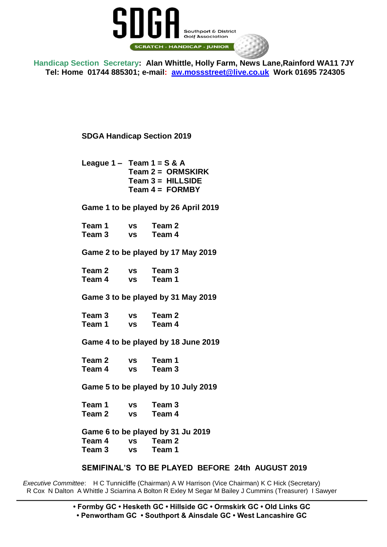

**Handicap Section Secretary: Alan Whittle, Holly Farm, News Lane,Rainford WA11 7JY Tel: Home 01744 885301; e-mail: [aw.mossstreet@live.](mailto:aw.mossstreet@live)co.uk Work 01695 724305**

**SDGA Handicap Section 2019**

**League 1 – Team 1 = S & A Team 2 = ORMSKIRK Team 3 = HILLSIDE Team 4 = FORMBY** 

**Game 1 to be played by 26 April 2019**

**Team 1 vs Team 2 Team 3 vs Team 4**

**Game 2 to be played by 17 May 2019**

**Team 2 vs Team 3 Team 4 vs Team 1**

**Game 3 to be played by 31 May 2019**

**Team 3 vs Team 2 Team 1 vs Team 4**

**Game 4 to be played by 18 June 2019**

**Team 2 vs Team 1 Team 4 vs Team 3**

**Game 5 to be played by 10 July 2019**

**Team 1 vs Team 3 Team 2 vs Team 4**

**Game 6 to be played by 31 Ju 2019 Team 4 vs Team 2 Team 3 vs Team 1**

**SEMIFINAL'S TO BE PLAYED BEFORE 24th AUGUST 2019**

*Executive Committee*: H C Tunnicliffe (Chairman) A W Harrison (Vice Chairman) K C Hick (Secretary) R Cox N Dalton A Whittle J Sciarrina A Bolton R Exley M Segar M Bailey J Cummins (Treasurer) I Sawyer

> **• Formby GC • Hesketh GC • Hillside GC • Ormskirk GC • Old Links GC • Penwortham GC • Southport & Ainsdale GC • West Lancashire GC**